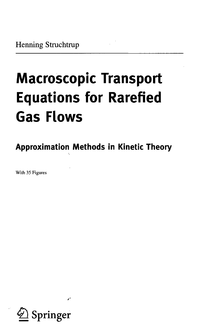## **Macroscopic Transport Equations for Rarefied Gas Flows**

**Approximation Methods in Kinetic Theory**

With 35 Figures

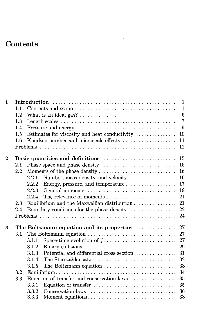## Contents

 $\mathcal{L}$ 

| 1        |         |                                                                                                                          | $\mathbf{1}$    |
|----------|---------|--------------------------------------------------------------------------------------------------------------------------|-----------------|
| 1.1      |         |                                                                                                                          | $\mathbf{1}$    |
|          | 1.2     |                                                                                                                          | $6\phantom{1}6$ |
|          | 1.3     | Length scales $\dots\dots\dots\dots\dots\dots\dots\dots\dots\dots\dots\dots\dots\dots\dots\dots\dots$                    | $\overline{7}$  |
|          | 1.4     |                                                                                                                          | 9               |
|          | 1.5     | Estimates for viscosity and heat conductivity                                                                            | 10              |
|          | 1.6     | Knudsen number and microscale effects                                                                                    | 11              |
|          |         |                                                                                                                          | 12              |
| $\bf{2}$ |         |                                                                                                                          | 15              |
|          | 2.1     |                                                                                                                          | 15              |
|          | 2.2     | Moments of the phase density                                                                                             | 16              |
|          |         | Number, mass density, and velocity<br>2.2.1                                                                              | 16              |
|          |         | 2.2.2<br>Energy, pressure, and temperature                                                                               | 17              |
|          |         | General moments<br>2.2.3                                                                                                 | 19              |
|          |         | The relevance of moments<br>2.2.4                                                                                        | 21              |
|          | 2.3     | Equilibrium and the Maxwellian distribution                                                                              | 21              |
|          | 2.4     | Boundary conditions for the phase density                                                                                | 22              |
|          |         |                                                                                                                          | 24              |
|          |         |                                                                                                                          |                 |
| 3        |         | The Boltzmann equation and its properties                                                                                | 27              |
|          | 3.1     |                                                                                                                          | 27              |
|          |         | 3.1.1                                                                                                                    | 27              |
|          |         | 3.1.2                                                                                                                    | 29              |
|          |         | Potential and differential cross section<br>3.1.3                                                                        | 31              |
|          |         | 3.1.4<br>The Stosszahlansatz                                                                                             | 32              |
|          |         | The Boltzmann equation<br>3.1.5                                                                                          | 33              |
|          | $3.2\,$ |                                                                                                                          | 34              |
|          | 3.3     | Equation of transfer and conservation laws                                                                               | 35              |
|          |         | Equation of transfer<br>3.3.1                                                                                            | 35              |
|          |         | $Conservation$ $laws$ $\ldots$ $\ldots$ $\ldots$ $\ldots$ $\ldots$ $\ldots$ $\ldots$ $\ldots$ $\ldots$ $\ldots$<br>3.3.2 | 36              |
|          |         | 3.3.3                                                                                                                    | 38              |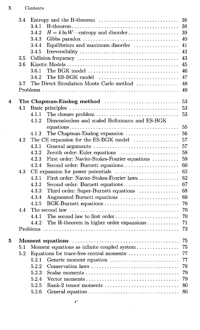$\bar{\gamma}$ 

|   | 3.4 | Entropy and the H-theorem                                                 | 38 |
|---|-----|---------------------------------------------------------------------------|----|
|   |     | 3.4.1                                                                     | 38 |
|   |     | 3.4.2                                                                     | 39 |
|   |     | 3.4.3                                                                     | 40 |
|   |     | Equilibrium and maximum disorder<br>3.4.4                                 | 41 |
|   |     | 3.4.5                                                                     | 42 |
|   | 3.5 |                                                                           | 43 |
|   | 3.6 |                                                                           | 45 |
|   |     | 3.6.1                                                                     | 46 |
|   |     | 3.6.2<br>The ES-BGK model                                                 | 47 |
|   | 3.7 | The Direct Simulation Monte Carlo method                                  | 48 |
|   |     |                                                                           | 49 |
| 4 |     | The Chapman-Enskog method                                                 | 53 |
|   | 4.1 |                                                                           | 53 |
|   |     | The closure problem<br>4.1.1                                              | 53 |
|   |     | Dimensionless and scaled Boltzmann and ES-BGK<br>4.1.2                    |    |
|   |     |                                                                           | 55 |
|   |     | The Chapman-Enskog expansion<br>4.1.3                                     | 56 |
|   | 4.2 | The CE expansion for the ES-BGK model                                     | 57 |
|   |     | 4.2.1<br>General arguments                                                | 57 |
|   |     | 4.2.2<br>Zeroth order: Euler equations                                    | 58 |
|   |     | First order: Navier-Stokes-Fourier equations<br>4.2.3                     | 59 |
|   |     | Second order: Burnett equations<br>4.2.4                                  | 60 |
|   | 4.3 | CE expansion for power potentials                                         | 62 |
|   |     | First order: Navier-Stokes-Fourier laws<br>4.3.1                          | 62 |
|   |     | 4.3.2<br>Second order: Burnett equations                                  | 67 |
|   |     | 4.3.3<br>Third order: Super-Burnett equations                             | 68 |
|   |     | Augmented Burnett equations<br>4.3.4                                      | 69 |
|   |     | BGK-Burnett equations<br>4.3.5                                            | 70 |
|   | 4.4 |                                                                           | 70 |
|   |     | The second law to first order<br>4.4.1                                    | 70 |
|   |     | The H-theorem in higher order expansions<br>4.4.2                         | 71 |
|   |     |                                                                           | 73 |
|   |     |                                                                           |    |
| 5 |     |                                                                           | 75 |
|   | 5.1 | Moment equations as infinite coupled system                               | 75 |
|   | 5.2 | Equations for trace-free central moments $\dots\dots\dots\dots\dots\dots$ | 77 |
|   |     | 5.2.1<br>Generic moment equation                                          | 77 |
|   |     | 5.2.2<br>Conservation laws                                                | 78 |
|   |     | 5.2.3<br>Scalar moments                                                   | 79 |
|   |     | 5.2.4<br>Vector moments                                                   | 79 |
|   |     | 5.2.5<br>Rank-2 tensor moments                                            | 80 |
|   |     | 5.2.6                                                                     | 80 |
|   |     |                                                                           |    |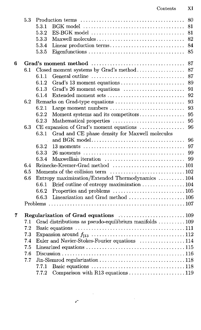|   | 5.3 | 5.3.1<br>5.3.2<br>5.3.3<br>5.3.4<br>5.3.5 | 80<br>81<br>81<br>$ES-BGK \text{ model} \dots \dots \dots \dots \dots \dots \dots \dots \dots \dots \dots \dots$<br>82<br>Maxwell molecules<br>Linear production terms<br>84<br>85 |
|---|-----|-------------------------------------------|------------------------------------------------------------------------------------------------------------------------------------------------------------------------------------|
| 6 |     |                                           | 87                                                                                                                                                                                 |
|   | 6.1 |                                           | Closed moment systems by Grad's method<br>87                                                                                                                                       |
|   |     | 6.1.1                                     | 87                                                                                                                                                                                 |
|   |     | 6.1.2                                     | Grad's 13 moment equations<br>89                                                                                                                                                   |
|   |     | 6.1.3                                     | Grad's 26 moment equations<br>91                                                                                                                                                   |
|   |     | 6.1.4                                     | Extended moment sets<br>92                                                                                                                                                         |
|   | 6.2 |                                           | 93<br>Remarks on Grad-type equations                                                                                                                                               |
|   |     | 6.2.1                                     | 93<br>Large moment numbers                                                                                                                                                         |
|   |     | 6.2.2                                     | Moment systems and its competitors<br>95                                                                                                                                           |
|   |     | 6.2.3                                     | 95<br>Mathematical properties                                                                                                                                                      |
|   | 6.3 |                                           | CE expansion of Grad's moment equations<br>96                                                                                                                                      |
|   |     | 6.3.1                                     | Grad and CE phase density for Maxwell molecules                                                                                                                                    |
|   |     |                                           | and BGK model<br>96                                                                                                                                                                |
|   |     | 6.3.2                                     | 97                                                                                                                                                                                 |
|   |     | 6.3.3                                     | 99                                                                                                                                                                                 |
|   |     | 6.3.4                                     | Maxwellian iteration<br>99                                                                                                                                                         |
|   | 6.4 |                                           |                                                                                                                                                                                    |
|   | 6.5 |                                           |                                                                                                                                                                                    |
|   | 6.6 |                                           | Entropy maximization/Extended Thermodynamics  104                                                                                                                                  |
|   |     | 6.6.1                                     | Brief outline of entropy maximization  104                                                                                                                                         |
|   |     | 6.6.2                                     |                                                                                                                                                                                    |
|   |     | 6.6.3                                     |                                                                                                                                                                                    |
|   |     |                                           |                                                                                                                                                                                    |
| 7 |     |                                           |                                                                                                                                                                                    |
|   | 7.1 |                                           | Grad distributions as pseudo-equilibrium manifolds  109                                                                                                                            |
|   | 7.2 |                                           |                                                                                                                                                                                    |
|   | 7.3 |                                           |                                                                                                                                                                                    |
|   | 7.4 |                                           | Euler and Navier-Stokes-Fourier equations 114                                                                                                                                      |
|   | 7.5 |                                           |                                                                                                                                                                                    |
|   | 7.6 |                                           |                                                                                                                                                                                    |
|   | 7.7 |                                           |                                                                                                                                                                                    |
|   |     | 7.7.1                                     |                                                                                                                                                                                    |
|   |     | 7.7.2                                     | Comparison with R13 equations 119                                                                                                                                                  |

 $\mathcal{L}^{\text{max}}_{\text{max}}$  , where  $\mathcal{L}^{\text{max}}_{\text{max}}$ 

 $\mathcal{L}^{\text{max}}_{\text{max}}$  and  $\mathcal{L}^{\text{max}}_{\text{max}}$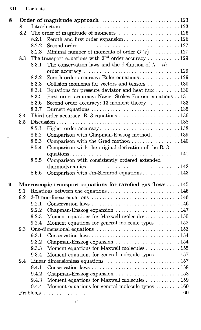| 8.1<br>The order of magnitude of moments  126<br>8.2<br>Zeroth and first order expansion126<br>8.2.1<br>8.2.2<br>Minimal number of moments of order $\mathcal{O}(\varepsilon)$ 127<br>8.2.3<br>The transport equations with $2^{nd}$ order accuracy 129<br>8.3<br>The conservation laws and the definition of $\lambda - th$<br>8.3.1<br>Zeroth order accuracy: Euler equations  129<br>8.3.2<br>Collision moments for vectors and tensors 130<br>8.3.3<br>Equations for pressure deviator and heat flux 130<br>8.3.4<br>First order accuracy: Navier-Stokes-Fourier equations 131<br>8.3.5<br>Second order accuracy: 13 moment theory  133<br>8.3.6<br>8.3.7<br>Third order accuracy: R13 equations 136<br>8.4<br>8.5<br>8.5.1<br>8.5.2<br>Comparison with Chapman-Enskog method 139<br>8.5.3<br>Comparison with the Grad method  140<br>Comparison with the original derivation of the R13<br>8.5.4<br>Comparison with consistently ordered extended<br>8.5.5<br>Comparison with Jin-Slemrod equations  143<br>8.5.6<br>Macroscopic transport equations for rarefied gas flows  145<br>9<br>9.1<br>9.2<br>9.2.1<br>Chapman-Enskog expansion  147<br>9.2.2<br>Moment equations for Maxwell molecules  150<br>9.2.3<br>Moment equations for general molecule types  152<br>9.2.4<br>9.3<br>9.3.1 |
|--------------------------------------------------------------------------------------------------------------------------------------------------------------------------------------------------------------------------------------------------------------------------------------------------------------------------------------------------------------------------------------------------------------------------------------------------------------------------------------------------------------------------------------------------------------------------------------------------------------------------------------------------------------------------------------------------------------------------------------------------------------------------------------------------------------------------------------------------------------------------------------------------------------------------------------------------------------------------------------------------------------------------------------------------------------------------------------------------------------------------------------------------------------------------------------------------------------------------------------------------------------------------------------------------|
|                                                                                                                                                                                                                                                                                                                                                                                                                                                                                                                                                                                                                                                                                                                                                                                                                                                                                                                                                                                                                                                                                                                                                                                                                                                                                                  |
|                                                                                                                                                                                                                                                                                                                                                                                                                                                                                                                                                                                                                                                                                                                                                                                                                                                                                                                                                                                                                                                                                                                                                                                                                                                                                                  |
|                                                                                                                                                                                                                                                                                                                                                                                                                                                                                                                                                                                                                                                                                                                                                                                                                                                                                                                                                                                                                                                                                                                                                                                                                                                                                                  |
|                                                                                                                                                                                                                                                                                                                                                                                                                                                                                                                                                                                                                                                                                                                                                                                                                                                                                                                                                                                                                                                                                                                                                                                                                                                                                                  |
|                                                                                                                                                                                                                                                                                                                                                                                                                                                                                                                                                                                                                                                                                                                                                                                                                                                                                                                                                                                                                                                                                                                                                                                                                                                                                                  |
|                                                                                                                                                                                                                                                                                                                                                                                                                                                                                                                                                                                                                                                                                                                                                                                                                                                                                                                                                                                                                                                                                                                                                                                                                                                                                                  |
|                                                                                                                                                                                                                                                                                                                                                                                                                                                                                                                                                                                                                                                                                                                                                                                                                                                                                                                                                                                                                                                                                                                                                                                                                                                                                                  |
|                                                                                                                                                                                                                                                                                                                                                                                                                                                                                                                                                                                                                                                                                                                                                                                                                                                                                                                                                                                                                                                                                                                                                                                                                                                                                                  |
|                                                                                                                                                                                                                                                                                                                                                                                                                                                                                                                                                                                                                                                                                                                                                                                                                                                                                                                                                                                                                                                                                                                                                                                                                                                                                                  |
|                                                                                                                                                                                                                                                                                                                                                                                                                                                                                                                                                                                                                                                                                                                                                                                                                                                                                                                                                                                                                                                                                                                                                                                                                                                                                                  |
|                                                                                                                                                                                                                                                                                                                                                                                                                                                                                                                                                                                                                                                                                                                                                                                                                                                                                                                                                                                                                                                                                                                                                                                                                                                                                                  |
|                                                                                                                                                                                                                                                                                                                                                                                                                                                                                                                                                                                                                                                                                                                                                                                                                                                                                                                                                                                                                                                                                                                                                                                                                                                                                                  |
|                                                                                                                                                                                                                                                                                                                                                                                                                                                                                                                                                                                                                                                                                                                                                                                                                                                                                                                                                                                                                                                                                                                                                                                                                                                                                                  |
|                                                                                                                                                                                                                                                                                                                                                                                                                                                                                                                                                                                                                                                                                                                                                                                                                                                                                                                                                                                                                                                                                                                                                                                                                                                                                                  |
|                                                                                                                                                                                                                                                                                                                                                                                                                                                                                                                                                                                                                                                                                                                                                                                                                                                                                                                                                                                                                                                                                                                                                                                                                                                                                                  |
|                                                                                                                                                                                                                                                                                                                                                                                                                                                                                                                                                                                                                                                                                                                                                                                                                                                                                                                                                                                                                                                                                                                                                                                                                                                                                                  |
|                                                                                                                                                                                                                                                                                                                                                                                                                                                                                                                                                                                                                                                                                                                                                                                                                                                                                                                                                                                                                                                                                                                                                                                                                                                                                                  |
|                                                                                                                                                                                                                                                                                                                                                                                                                                                                                                                                                                                                                                                                                                                                                                                                                                                                                                                                                                                                                                                                                                                                                                                                                                                                                                  |
|                                                                                                                                                                                                                                                                                                                                                                                                                                                                                                                                                                                                                                                                                                                                                                                                                                                                                                                                                                                                                                                                                                                                                                                                                                                                                                  |
|                                                                                                                                                                                                                                                                                                                                                                                                                                                                                                                                                                                                                                                                                                                                                                                                                                                                                                                                                                                                                                                                                                                                                                                                                                                                                                  |
|                                                                                                                                                                                                                                                                                                                                                                                                                                                                                                                                                                                                                                                                                                                                                                                                                                                                                                                                                                                                                                                                                                                                                                                                                                                                                                  |
|                                                                                                                                                                                                                                                                                                                                                                                                                                                                                                                                                                                                                                                                                                                                                                                                                                                                                                                                                                                                                                                                                                                                                                                                                                                                                                  |
|                                                                                                                                                                                                                                                                                                                                                                                                                                                                                                                                                                                                                                                                                                                                                                                                                                                                                                                                                                                                                                                                                                                                                                                                                                                                                                  |
|                                                                                                                                                                                                                                                                                                                                                                                                                                                                                                                                                                                                                                                                                                                                                                                                                                                                                                                                                                                                                                                                                                                                                                                                                                                                                                  |
|                                                                                                                                                                                                                                                                                                                                                                                                                                                                                                                                                                                                                                                                                                                                                                                                                                                                                                                                                                                                                                                                                                                                                                                                                                                                                                  |
|                                                                                                                                                                                                                                                                                                                                                                                                                                                                                                                                                                                                                                                                                                                                                                                                                                                                                                                                                                                                                                                                                                                                                                                                                                                                                                  |
|                                                                                                                                                                                                                                                                                                                                                                                                                                                                                                                                                                                                                                                                                                                                                                                                                                                                                                                                                                                                                                                                                                                                                                                                                                                                                                  |
|                                                                                                                                                                                                                                                                                                                                                                                                                                                                                                                                                                                                                                                                                                                                                                                                                                                                                                                                                                                                                                                                                                                                                                                                                                                                                                  |
|                                                                                                                                                                                                                                                                                                                                                                                                                                                                                                                                                                                                                                                                                                                                                                                                                                                                                                                                                                                                                                                                                                                                                                                                                                                                                                  |
|                                                                                                                                                                                                                                                                                                                                                                                                                                                                                                                                                                                                                                                                                                                                                                                                                                                                                                                                                                                                                                                                                                                                                                                                                                                                                                  |
|                                                                                                                                                                                                                                                                                                                                                                                                                                                                                                                                                                                                                                                                                                                                                                                                                                                                                                                                                                                                                                                                                                                                                                                                                                                                                                  |
|                                                                                                                                                                                                                                                                                                                                                                                                                                                                                                                                                                                                                                                                                                                                                                                                                                                                                                                                                                                                                                                                                                                                                                                                                                                                                                  |
|                                                                                                                                                                                                                                                                                                                                                                                                                                                                                                                                                                                                                                                                                                                                                                                                                                                                                                                                                                                                                                                                                                                                                                                                                                                                                                  |
| Chapman-Enskog expansion 154<br>9.3.2                                                                                                                                                                                                                                                                                                                                                                                                                                                                                                                                                                                                                                                                                                                                                                                                                                                                                                                                                                                                                                                                                                                                                                                                                                                            |
| Moment equations for Maxwell molecules  155<br>9.3.3                                                                                                                                                                                                                                                                                                                                                                                                                                                                                                                                                                                                                                                                                                                                                                                                                                                                                                                                                                                                                                                                                                                                                                                                                                             |
| Moment equations for general molecule types  157<br>9.3.4                                                                                                                                                                                                                                                                                                                                                                                                                                                                                                                                                                                                                                                                                                                                                                                                                                                                                                                                                                                                                                                                                                                                                                                                                                        |
| 9.4                                                                                                                                                                                                                                                                                                                                                                                                                                                                                                                                                                                                                                                                                                                                                                                                                                                                                                                                                                                                                                                                                                                                                                                                                                                                                              |
| 9.4.1                                                                                                                                                                                                                                                                                                                                                                                                                                                                                                                                                                                                                                                                                                                                                                                                                                                                                                                                                                                                                                                                                                                                                                                                                                                                                            |
|                                                                                                                                                                                                                                                                                                                                                                                                                                                                                                                                                                                                                                                                                                                                                                                                                                                                                                                                                                                                                                                                                                                                                                                                                                                                                                  |
| 9.4.2                                                                                                                                                                                                                                                                                                                                                                                                                                                                                                                                                                                                                                                                                                                                                                                                                                                                                                                                                                                                                                                                                                                                                                                                                                                                                            |
| 9.4.3                                                                                                                                                                                                                                                                                                                                                                                                                                                                                                                                                                                                                                                                                                                                                                                                                                                                                                                                                                                                                                                                                                                                                                                                                                                                                            |
| Moment equations for Maxwell molecules  159<br>Moment equations for general molecule types $\dots \dots \dots 160$<br>9.4.4                                                                                                                                                                                                                                                                                                                                                                                                                                                                                                                                                                                                                                                                                                                                                                                                                                                                                                                                                                                                                                                                                                                                                                      |

 $\mathbb{Z}^d$ 

 $\mathcal{A}$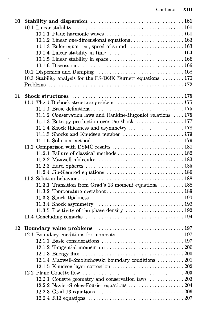| 10 |                                                                                                         |  |
|----|---------------------------------------------------------------------------------------------------------|--|
|    |                                                                                                         |  |
|    |                                                                                                         |  |
|    | 10.1.2 Linear one-dimensional equations 163                                                             |  |
|    | 10.1.3 Euler equations, speed of sound  163                                                             |  |
|    |                                                                                                         |  |
|    |                                                                                                         |  |
|    |                                                                                                         |  |
|    |                                                                                                         |  |
|    | 10.3 Stability analysis for the ES-BGK Burnett equations  170                                           |  |
|    |                                                                                                         |  |
|    |                                                                                                         |  |
| 11 |                                                                                                         |  |
|    |                                                                                                         |  |
|    |                                                                                                         |  |
|    | 11.1.2 Conservation laws and Rankine-Hugoniot relations  176                                            |  |
|    |                                                                                                         |  |
|    | 11.1.4 Shock thickness and asymmetry  178                                                               |  |
|    | 11.1.5 Shocks and Knudsen number 179                                                                    |  |
|    |                                                                                                         |  |
|    |                                                                                                         |  |
|    |                                                                                                         |  |
|    |                                                                                                         |  |
|    |                                                                                                         |  |
|    |                                                                                                         |  |
|    |                                                                                                         |  |
|    | 11.3.1 Transition from Grad's 13 moment equations  188                                                  |  |
|    |                                                                                                         |  |
|    |                                                                                                         |  |
|    |                                                                                                         |  |
|    |                                                                                                         |  |
|    |                                                                                                         |  |
| 12 |                                                                                                         |  |
|    | 12.1 Boundary conditions for moments  197                                                               |  |
|    |                                                                                                         |  |
|    |                                                                                                         |  |
|    |                                                                                                         |  |
|    | 12.1.4 Maxwell-Smoluchowski boundary conditions  201                                                    |  |
|    |                                                                                                         |  |
|    |                                                                                                         |  |
|    | 12.2.1 Couette geometry and conservation laws 203                                                       |  |
|    |                                                                                                         |  |
|    |                                                                                                         |  |
|    | 12.2.4 R13 equations $\ldots \ldots \ldots \ldots \ldots \ldots \ldots \ldots \ldots \ldots \ldots 207$ |  |
|    |                                                                                                         |  |